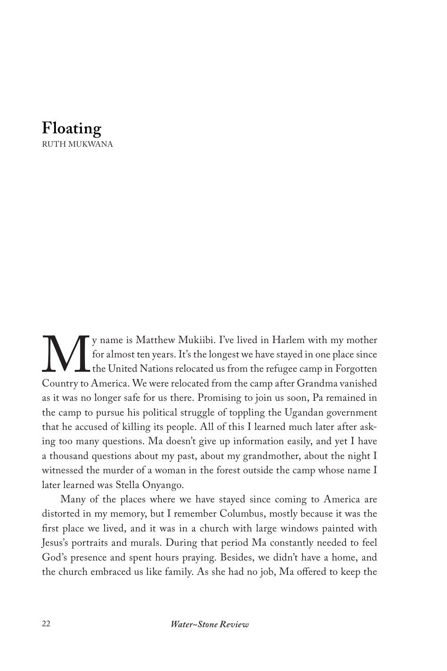

We y name is Matthew Mukiibi. I've lived in Harlem with my mother<br>for almost ten years. It's the longest we have stayed in one place since<br>Country to America. We were relocated from the camp after Grandma vanished for almost ten years. It's the longest we have stayed in one place since the United Nations relocated us from the refugee camp in Forgotten Country to America. We were relocated from the camp after Grandma vanished as it was no longer safe for us there. Promising to join us soon, Pa remained in the camp to pursue his political struggle of toppling the Ugandan government that he accused of killing its people. All of this I learned much later after asking too many questions. Ma doesn't give up information easily, and yet I have a thousand questions about my past, about my grandmother, about the night I witnessed the murder of a woman in the forest outside the camp whose name I later learned was Stella Onyango.

Many of the places where we have stayed since coming to America are distorted in my memory, but I remember Columbus, mostly because it was the first place we lived, and it was in a church with large windows painted with Jesus's portraits and murals. During that period Ma constantly needed to feel God's presence and spent hours praying. Besides, we didn't have a home, and the church embraced us like family. As she had no job, Ma offered to keep the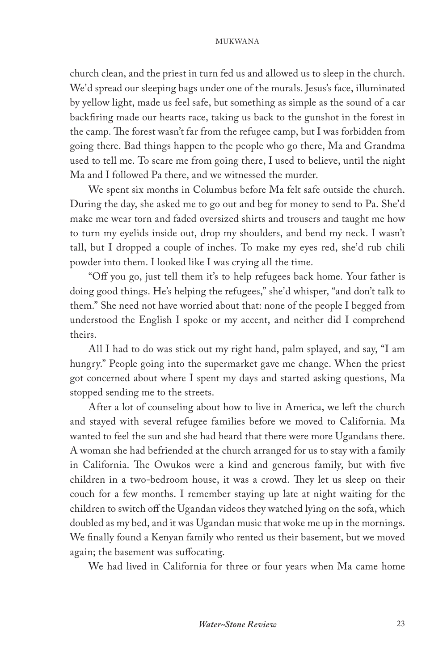church clean, and the priest in turn fed us and allowed us to sleep in the church. We'd spread our sleeping bags under one of the murals. Jesus's face, illuminated by yellow light, made us feel safe, but something as simple as the sound of a car backfiring made our hearts race, taking us back to the gunshot in the forest in the camp. The forest wasn't far from the refugee camp, but I was forbidden from going there. Bad things happen to the people who go there, Ma and Grandma used to tell me. To scare me from going there, I used to believe, until the night Ma and I followed Pa there, and we witnessed the murder.

We spent six months in Columbus before Ma felt safe outside the church. During the day, she asked me to go out and beg for money to send to Pa. She'd make me wear torn and faded oversized shirts and trousers and taught me how to turn my eyelids inside out, drop my shoulders, and bend my neck. I wasn't tall, but I dropped a couple of inches. To make my eyes red, she'd rub chili powder into them. I looked like I was crying all the time.

"Off you go, just tell them it's to help refugees back home. Your father is doing good things. He's helping the refugees," she'd whisper, "and don't talk to them." She need not have worried about that: none of the people I begged from understood the English I spoke or my accent, and neither did I comprehend theirs.

All I had to do was stick out my right hand, palm splayed, and say, "I am hungry." People going into the supermarket gave me change. When the priest got concerned about where I spent my days and started asking questions, Ma stopped sending me to the streets.

After a lot of counseling about how to live in America, we left the church and stayed with several refugee families before we moved to California. Ma wanted to feel the sun and she had heard that there were more Ugandans there. A woman she had befriended at the church arranged for us to stay with a family in California. The Owukos were a kind and generous family, but with five children in a two-bedroom house, it was a crowd. They let us sleep on their couch for a few months. I remember staying up late at night waiting for the children to switch off the Ugandan videos they watched lying on the sofa, which doubled as my bed, and it was Ugandan music that woke me up in the mornings. We finally found a Kenyan family who rented us their basement, but we moved again; the basement was suffocating.

We had lived in California for three or four years when Ma came home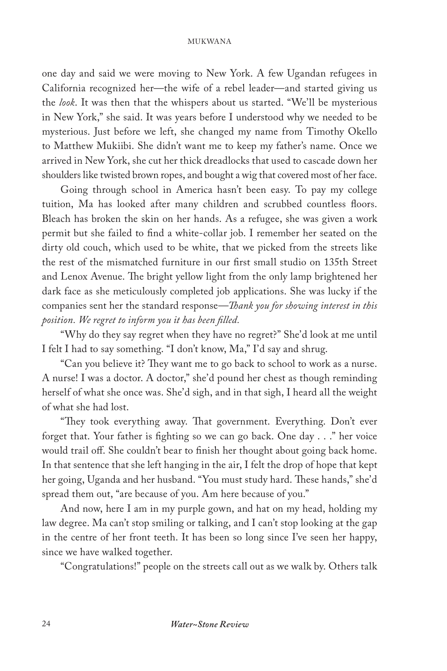one day and said we were moving to New York. A few Ugandan refugees in California recognized her—the wife of a rebel leader—and started giving us the *look*. It was then that the whispers about us started. "We'll be mysterious in New York," she said. It was years before I understood why we needed to be mysterious. Just before we left, she changed my name from Timothy Okello to Matthew Mukiibi. She didn't want me to keep my father's name. Once we arrived in New York, she cut her thick dreadlocks that used to cascade down her shoulders like twisted brown ropes, and bought a wig that covered most of her face.

Going through school in America hasn't been easy. To pay my college tuition, Ma has looked after many children and scrubbed countless floors. Bleach has broken the skin on her hands. As a refugee, she was given a work permit but she failed to find a white-collar job. I remember her seated on the dirty old couch, which used to be white, that we picked from the streets like the rest of the mismatched furniture in our first small studio on 135th Street and Lenox Avenue. The bright yellow light from the only lamp brightened her dark face as she meticulously completed job applications. She was lucky if the companies sent her the standard response—*Thank you for showing interest in this position. We regret to inform you it has been filled.*

"Why do they say regret when they have no regret?" She'd look at me until I felt I had to say something. "I don't know, Ma," I'd say and shrug.

"Can you believe it? They want me to go back to school to work as a nurse. A nurse! I was a doctor. A doctor," she'd pound her chest as though reminding herself of what she once was. She'd sigh, and in that sigh, I heard all the weight of what she had lost.

"They took everything away. That government. Everything. Don't ever forget that. Your father is fighting so we can go back. One day . . ." her voice would trail off. She couldn't bear to finish her thought about going back home. In that sentence that she left hanging in the air, I felt the drop of hope that kept her going, Uganda and her husband. "You must study hard. These hands," she'd spread them out, "are because of you. Am here because of you."

And now, here I am in my purple gown, and hat on my head, holding my law degree. Ma can't stop smiling or talking, and I can't stop looking at the gap in the centre of her front teeth. It has been so long since I've seen her happy, since we have walked together.

"Congratulations!" people on the streets call out as we walk by. Others talk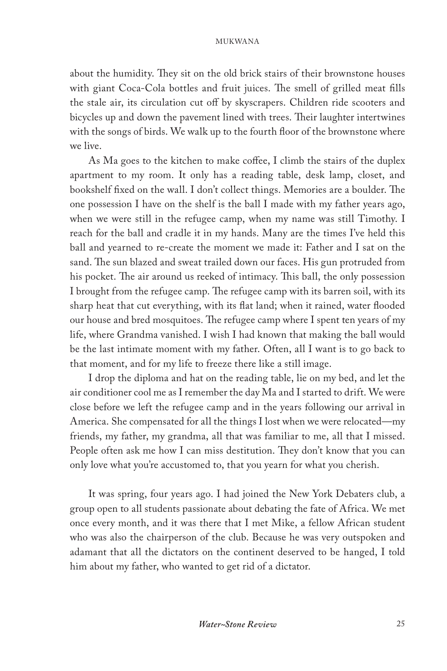about the humidity. They sit on the old brick stairs of their brownstone houses with giant Coca-Cola bottles and fruit juices. The smell of grilled meat fills the stale air, its circulation cut off by skyscrapers. Children ride scooters and bicycles up and down the pavement lined with trees. Their laughter intertwines with the songs of birds. We walk up to the fourth floor of the brownstone where we live.

As Ma goes to the kitchen to make coffee, I climb the stairs of the duplex apartment to my room. It only has a reading table, desk lamp, closet, and bookshelf fixed on the wall. I don't collect things. Memories are a boulder. The one possession I have on the shelf is the ball I made with my father years ago, when we were still in the refugee camp, when my name was still Timothy. I reach for the ball and cradle it in my hands. Many are the times I've held this ball and yearned to re-create the moment we made it: Father and I sat on the sand. The sun blazed and sweat trailed down our faces. His gun protruded from his pocket. The air around us reeked of intimacy. This ball, the only possession I brought from the refugee camp. The refugee camp with its barren soil, with its sharp heat that cut everything, with its flat land; when it rained, water flooded our house and bred mosquitoes. The refugee camp where I spent ten years of my life, where Grandma vanished. I wish I had known that making the ball would be the last intimate moment with my father. Often, all I want is to go back to that moment, and for my life to freeze there like a still image.

I drop the diploma and hat on the reading table, lie on my bed, and let the air conditioner cool me as I remember the day Ma and I started to drift. We were close before we left the refugee camp and in the years following our arrival in America. She compensated for all the things I lost when we were relocated—my friends, my father, my grandma, all that was familiar to me, all that I missed. People often ask me how I can miss destitution. They don't know that you can only love what you're accustomed to, that you yearn for what you cherish.

It was spring, four years ago. I had joined the New York Debaters club, a group open to all students passionate about debating the fate of Africa. We met once every month, and it was there that I met Mike, a fellow African student who was also the chairperson of the club. Because he was very outspoken and adamant that all the dictators on the continent deserved to be hanged, I told him about my father, who wanted to get rid of a dictator.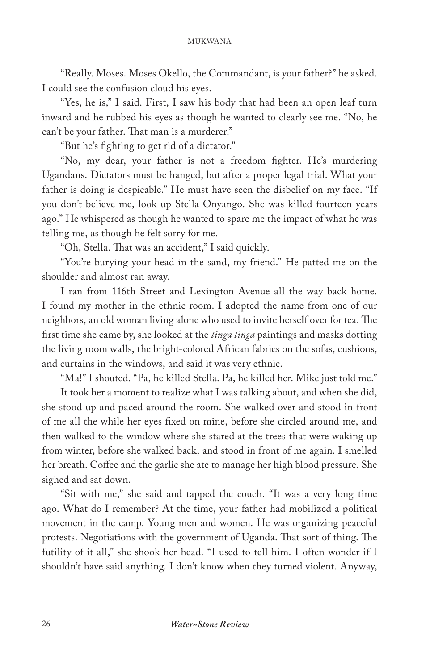"Really. Moses. Moses Okello, the Commandant, is your father?" he asked. I could see the confusion cloud his eyes.

"Yes, he is," I said. First, I saw his body that had been an open leaf turn inward and he rubbed his eyes as though he wanted to clearly see me. "No, he can't be your father. That man is a murderer."

"But he's fighting to get rid of a dictator."

"No, my dear, your father is not a freedom fighter. He's murdering Ugandans. Dictators must be hanged, but after a proper legal trial. What your father is doing is despicable." He must have seen the disbelief on my face. "If you don't believe me, look up Stella Onyango. She was killed fourteen years ago." He whispered as though he wanted to spare me the impact of what he was telling me, as though he felt sorry for me.

"Oh, Stella. That was an accident," I said quickly.

"You're burying your head in the sand, my friend." He patted me on the shoulder and almost ran away.

I ran from 116th Street and Lexington Avenue all the way back home. I found my mother in the ethnic room. I adopted the name from one of our neighbors, an old woman living alone who used to invite herself over for tea. The first time she came by, she looked at the *tinga tinga* paintings and masks dotting the living room walls, the bright-colored African fabrics on the sofas, cushions, and curtains in the windows, and said it was very ethnic.

"Ma!" I shouted. "Pa, he killed Stella. Pa, he killed her. Mike just told me."

It took her a moment to realize what I was talking about, and when she did, she stood up and paced around the room. She walked over and stood in front of me all the while her eyes fixed on mine, before she circled around me, and then walked to the window where she stared at the trees that were waking up from winter, before she walked back, and stood in front of me again. I smelled her breath. Coffee and the garlic she ate to manage her high blood pressure. She sighed and sat down.

"Sit with me," she said and tapped the couch. "It was a very long time ago. What do I remember? At the time, your father had mobilized a political movement in the camp. Young men and women. He was organizing peaceful protests. Negotiations with the government of Uganda. That sort of thing. The futility of it all," she shook her head. "I used to tell him. I often wonder if I shouldn't have said anything. I don't know when they turned violent. Anyway,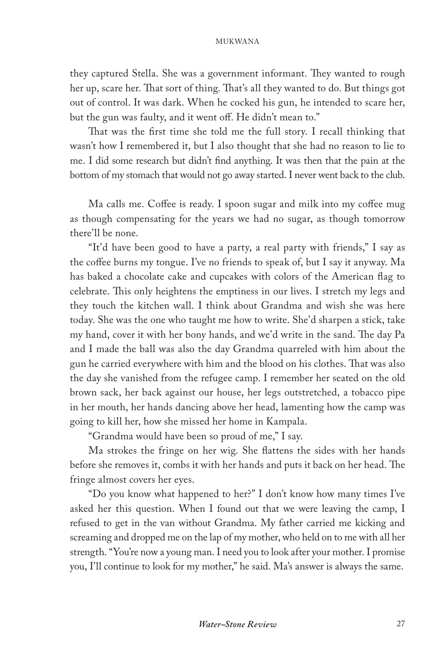they captured Stella. She was a government informant. They wanted to rough her up, scare her. That sort of thing. That's all they wanted to do. But things got out of control. It was dark. When he cocked his gun, he intended to scare her, but the gun was faulty, and it went off. He didn't mean to."

That was the first time she told me the full story. I recall thinking that wasn't how I remembered it, but I also thought that she had no reason to lie to me. I did some research but didn't find anything. It was then that the pain at the bottom of my stomach that would not go away started. I never went back to the club.

Ma calls me. Coffee is ready. I spoon sugar and milk into my coffee mug as though compensating for the years we had no sugar, as though tomorrow there'll be none.

"It'd have been good to have a party, a real party with friends," I say as the coffee burns my tongue. I've no friends to speak of, but I say it anyway. Ma has baked a chocolate cake and cupcakes with colors of the American flag to celebrate. This only heightens the emptiness in our lives. I stretch my legs and they touch the kitchen wall. I think about Grandma and wish she was here today. She was the one who taught me how to write. She'd sharpen a stick, take my hand, cover it with her bony hands, and we'd write in the sand. The day Pa and I made the ball was also the day Grandma quarreled with him about the gun he carried everywhere with him and the blood on his clothes. That was also the day she vanished from the refugee camp. I remember her seated on the old brown sack, her back against our house, her legs outstretched, a tobacco pipe in her mouth, her hands dancing above her head, lamenting how the camp was going to kill her, how she missed her home in Kampala.

"Grandma would have been so proud of me," I say.

Ma strokes the fringe on her wig. She flattens the sides with her hands before she removes it, combs it with her hands and puts it back on her head. The fringe almost covers her eyes.

"Do you know what happened to her?" I don't know how many times I've asked her this question. When I found out that we were leaving the camp, I refused to get in the van without Grandma. My father carried me kicking and screaming and dropped me on the lap of my mother, who held on to me with all her strength. "You're now a young man. I need you to look after your mother. I promise you, I'll continue to look for my mother," he said. Ma's answer is always the same.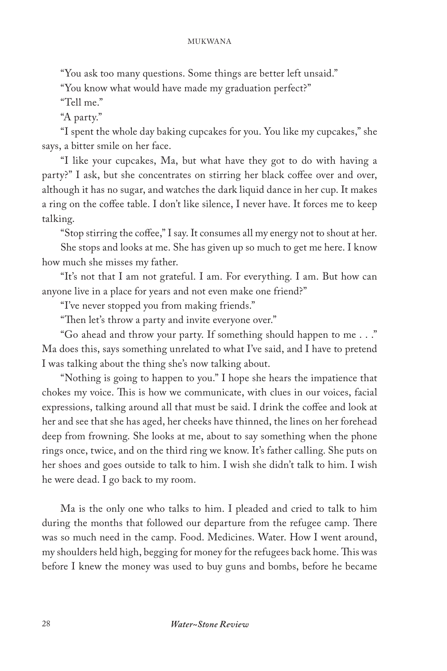"You ask too many questions. Some things are better left unsaid."

"You know what would have made my graduation perfect?"

"Tell me."

"A party."

"I spent the whole day baking cupcakes for you. You like my cupcakes," she says, a bitter smile on her face.

"I like your cupcakes, Ma, but what have they got to do with having a party?" I ask, but she concentrates on stirring her black coffee over and over, although it has no sugar, and watches the dark liquid dance in her cup. It makes a ring on the coffee table. I don't like silence, I never have. It forces me to keep talking.

"Stop stirring the coffee," I say. It consumes all my energy not to shout at her. She stops and looks at me. She has given up so much to get me here. I know how much she misses my father.

"It's not that I am not grateful. I am. For everything. I am. But how can anyone live in a place for years and not even make one friend?"

"I've never stopped you from making friends."

"Then let's throw a party and invite everyone over."

"Go ahead and throw your party. If something should happen to me . . ." Ma does this, says something unrelated to what I've said, and I have to pretend I was talking about the thing she's now talking about.

"Nothing is going to happen to you." I hope she hears the impatience that chokes my voice. This is how we communicate, with clues in our voices, facial expressions, talking around all that must be said. I drink the coffee and look at her and see that she has aged, her cheeks have thinned, the lines on her forehead deep from frowning. She looks at me, about to say something when the phone rings once, twice, and on the third ring we know. It's father calling. She puts on her shoes and goes outside to talk to him. I wish she didn't talk to him. I wish he were dead. I go back to my room.

Ma is the only one who talks to him. I pleaded and cried to talk to him during the months that followed our departure from the refugee camp. There was so much need in the camp. Food. Medicines. Water. How I went around, my shoulders held high, begging for money for the refugees back home. This was before I knew the money was used to buy guns and bombs, before he became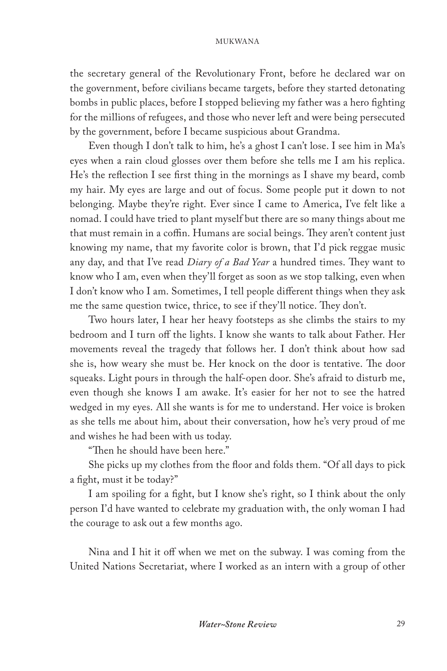the secretary general of the Revolutionary Front, before he declared war on the government, before civilians became targets, before they started detonating bombs in public places, before I stopped believing my father was a hero fighting for the millions of refugees, and those who never left and were being persecuted by the government, before I became suspicious about Grandma.

Even though I don't talk to him, he's a ghost I can't lose. I see him in Ma's eyes when a rain cloud glosses over them before she tells me I am his replica. He's the reflection I see first thing in the mornings as I shave my beard, comb my hair. My eyes are large and out of focus. Some people put it down to not belonging. Maybe they're right. Ever since I came to America, I've felt like a nomad. I could have tried to plant myself but there are so many things about me that must remain in a coffin. Humans are social beings. They aren't content just knowing my name, that my favorite color is brown, that I'd pick reggae music any day, and that I've read *Diary of a Bad Year* a hundred times. They want to know who I am, even when they'll forget as soon as we stop talking, even when I don't know who I am. Sometimes, I tell people different things when they ask me the same question twice, thrice, to see if they'll notice. They don't.

Two hours later, I hear her heavy footsteps as she climbs the stairs to my bedroom and I turn off the lights. I know she wants to talk about Father. Her movements reveal the tragedy that follows her. I don't think about how sad she is, how weary she must be. Her knock on the door is tentative. The door squeaks. Light pours in through the half-open door. She's afraid to disturb me, even though she knows I am awake. It's easier for her not to see the hatred wedged in my eyes. All she wants is for me to understand. Her voice is broken as she tells me about him, about their conversation, how he's very proud of me and wishes he had been with us today.

"Then he should have been here."

She picks up my clothes from the floor and folds them. "Of all days to pick a fight, must it be today?"

I am spoiling for a fight, but I know she's right, so I think about the only person I'd have wanted to celebrate my graduation with, the only woman I had the courage to ask out a few months ago.

Nina and I hit it off when we met on the subway. I was coming from the United Nations Secretariat, where I worked as an intern with a group of other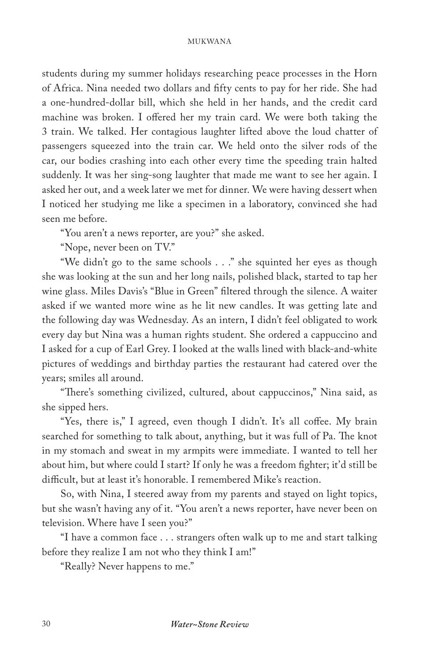students during my summer holidays researching peace processes in the Horn of Africa. Nina needed two dollars and fifty cents to pay for her ride. She had a one-hundred-dollar bill, which she held in her hands, and the credit card machine was broken. I offered her my train card. We were both taking the 3 train. We talked. Her contagious laughter lifted above the loud chatter of passengers squeezed into the train car. We held onto the silver rods of the car, our bodies crashing into each other every time the speeding train halted suddenly. It was her sing-song laughter that made me want to see her again. I asked her out, and a week later we met for dinner. We were having dessert when I noticed her studying me like a specimen in a laboratory, convinced she had seen me before.

"You aren't a news reporter, are you?" she asked.

"Nope, never been on TV."

"We didn't go to the same schools . . ." she squinted her eyes as though she was looking at the sun and her long nails, polished black, started to tap her wine glass. Miles Davis's "Blue in Green" filtered through the silence. A waiter asked if we wanted more wine as he lit new candles. It was getting late and the following day was Wednesday. As an intern, I didn't feel obligated to work every day but Nina was a human rights student. She ordered a cappuccino and I asked for a cup of Earl Grey. I looked at the walls lined with black-and-white pictures of weddings and birthday parties the restaurant had catered over the years; smiles all around.

"There's something civilized, cultured, about cappuccinos," Nina said, as she sipped hers.

"Yes, there is," I agreed, even though I didn't. It's all coffee. My brain searched for something to talk about, anything, but it was full of Pa. The knot in my stomach and sweat in my armpits were immediate. I wanted to tell her about him, but where could I start? If only he was a freedom fighter; it'd still be difficult, but at least it's honorable. I remembered Mike's reaction.

So, with Nina, I steered away from my parents and stayed on light topics, but she wasn't having any of it. "You aren't a news reporter, have never been on television. Where have I seen you?"

"I have a common face . . . strangers often walk up to me and start talking before they realize I am not who they think I am!"

"Really? Never happens to me."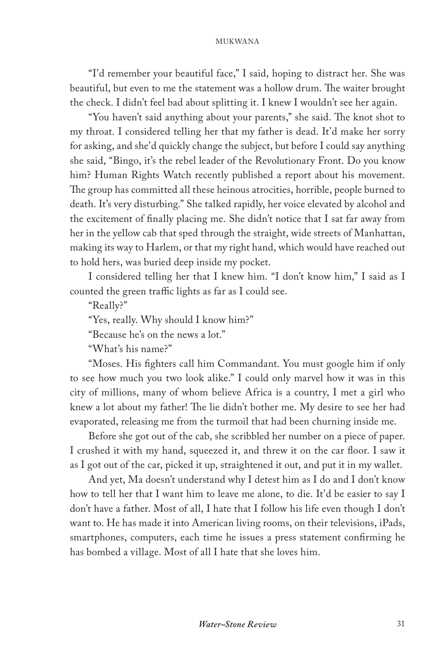"I'd remember your beautiful face," I said, hoping to distract her. She was beautiful, but even to me the statement was a hollow drum. The waiter brought the check. I didn't feel bad about splitting it. I knew I wouldn't see her again.

"You haven't said anything about your parents," she said. The knot shot to my throat. I considered telling her that my father is dead. It'd make her sorry for asking, and she'd quickly change the subject, but before I could say anything she said, "Bingo, it's the rebel leader of the Revolutionary Front. Do you know him? Human Rights Watch recently published a report about his movement. The group has committed all these heinous atrocities, horrible, people burned to death. It's very disturbing." She talked rapidly, her voice elevated by alcohol and the excitement of finally placing me. She didn't notice that I sat far away from her in the yellow cab that sped through the straight, wide streets of Manhattan, making its way to Harlem, or that my right hand, which would have reached out to hold hers, was buried deep inside my pocket.

I considered telling her that I knew him. "I don't know him," I said as I counted the green traffic lights as far as I could see.

"Really?"

"Yes, really. Why should I know him?"

"Because he's on the news a lot."

"What's his name?"

"Moses. His fighters call him Commandant. You must google him if only to see how much you two look alike." I could only marvel how it was in this city of millions, many of whom believe Africa is a country, I met a girl who knew a lot about my father! The lie didn't bother me. My desire to see her had evaporated, releasing me from the turmoil that had been churning inside me.

Before she got out of the cab, she scribbled her number on a piece of paper. I crushed it with my hand, squeezed it, and threw it on the car floor. I saw it as I got out of the car, picked it up, straightened it out, and put it in my wallet.

And yet, Ma doesn't understand why I detest him as I do and I don't know how to tell her that I want him to leave me alone, to die. It'd be easier to say I don't have a father. Most of all, I hate that I follow his life even though I don't want to. He has made it into American living rooms, on their televisions, iPads, smartphones, computers, each time he issues a press statement confirming he has bombed a village. Most of all I hate that she loves him.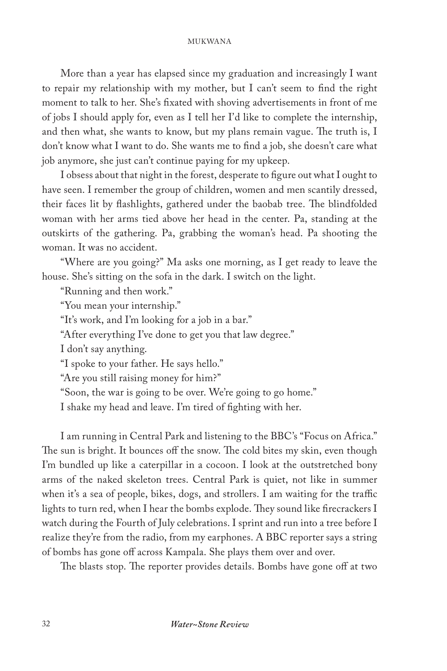More than a year has elapsed since my graduation and increasingly I want to repair my relationship with my mother, but I can't seem to find the right moment to talk to her. She's fixated with shoving advertisements in front of me of jobs I should apply for, even as I tell her I'd like to complete the internship, and then what, she wants to know, but my plans remain vague. The truth is, I don't know what I want to do. She wants me to find a job, she doesn't care what job anymore, she just can't continue paying for my upkeep.

I obsess about that night in the forest, desperate to figure out what I ought to have seen. I remember the group of children, women and men scantily dressed, their faces lit by flashlights, gathered under the baobab tree. The blindfolded woman with her arms tied above her head in the center. Pa, standing at the outskirts of the gathering. Pa, grabbing the woman's head. Pa shooting the woman. It was no accident.

"Where are you going?" Ma asks one morning, as I get ready to leave the house. She's sitting on the sofa in the dark. I switch on the light.

"Running and then work."

"You mean your internship."

"It's work, and I'm looking for a job in a bar."

"After everything I've done to get you that law degree."

I don't say anything.

"I spoke to your father. He says hello."

"Are you still raising money for him?"

"Soon, the war is going to be over. We're going to go home."

I shake my head and leave. I'm tired of fighting with her.

I am running in Central Park and listening to the BBC's "Focus on Africa." The sun is bright. It bounces off the snow. The cold bites my skin, even though I'm bundled up like a caterpillar in a cocoon. I look at the outstretched bony arms of the naked skeleton trees. Central Park is quiet, not like in summer when it's a sea of people, bikes, dogs, and strollers. I am waiting for the traffic lights to turn red, when I hear the bombs explode. They sound like firecrackers I watch during the Fourth of July celebrations. I sprint and run into a tree before I realize they're from the radio, from my earphones. A BBC reporter says a string of bombs has gone off across Kampala. She plays them over and over.

The blasts stop. The reporter provides details. Bombs have gone off at two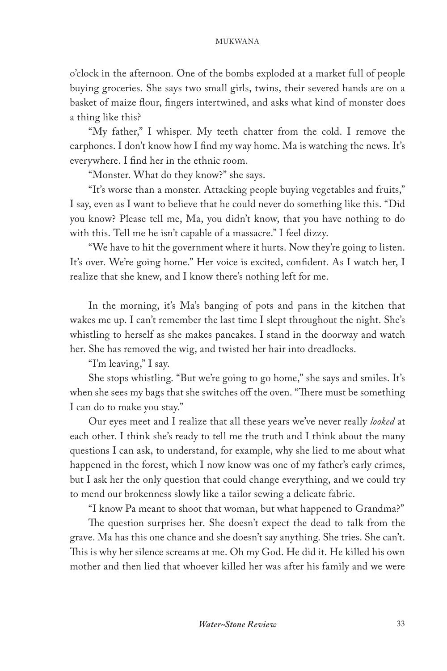o'clock in the afternoon. One of the bombs exploded at a market full of people buying groceries. She says two small girls, twins, their severed hands are on a basket of maize flour, fingers intertwined, and asks what kind of monster does a thing like this?

"My father," I whisper. My teeth chatter from the cold. I remove the earphones. I don't know how I find my way home. Ma is watching the news. It's everywhere. I find her in the ethnic room.

"Monster. What do they know?" she says.

"It's worse than a monster. Attacking people buying vegetables and fruits," I say, even as I want to believe that he could never do something like this. "Did you know? Please tell me, Ma, you didn't know, that you have nothing to do with this. Tell me he isn't capable of a massacre." I feel dizzy.

"We have to hit the government where it hurts. Now they're going to listen. It's over. We're going home." Her voice is excited, confident. As I watch her, I realize that she knew, and I know there's nothing left for me.

In the morning, it's Ma's banging of pots and pans in the kitchen that wakes me up. I can't remember the last time I slept throughout the night. She's whistling to herself as she makes pancakes. I stand in the doorway and watch her. She has removed the wig, and twisted her hair into dreadlocks.

"I'm leaving," I say.

She stops whistling. "But we're going to go home," she says and smiles. It's when she sees my bags that she switches off the oven. "There must be something I can do to make you stay."

Our eyes meet and I realize that all these years we've never really *looked* at each other. I think she's ready to tell me the truth and I think about the many questions I can ask, to understand, for example, why she lied to me about what happened in the forest, which I now know was one of my father's early crimes, but I ask her the only question that could change everything, and we could try to mend our brokenness slowly like a tailor sewing a delicate fabric.

"I know Pa meant to shoot that woman, but what happened to Grandma?"

The question surprises her. She doesn't expect the dead to talk from the grave. Ma has this one chance and she doesn't say anything. She tries. She can't. This is why her silence screams at me. Oh my God. He did it. He killed his own mother and then lied that whoever killed her was after his family and we were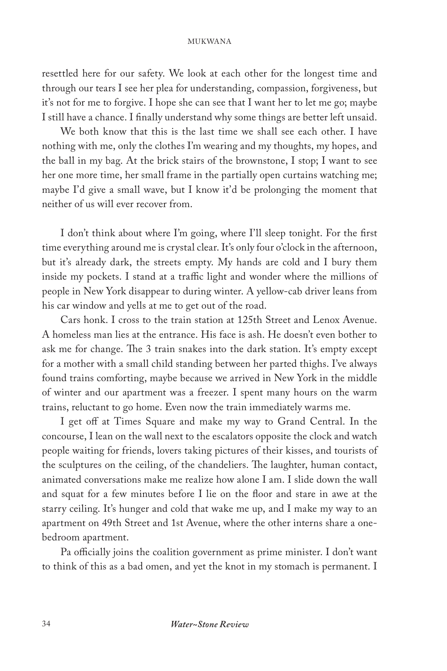resettled here for our safety. We look at each other for the longest time and through our tears I see her plea for understanding, compassion, forgiveness, but it's not for me to forgive. I hope she can see that I want her to let me go; maybe I still have a chance. I finally understand why some things are better left unsaid.

We both know that this is the last time we shall see each other. I have nothing with me, only the clothes I'm wearing and my thoughts, my hopes, and the ball in my bag. At the brick stairs of the brownstone, I stop; I want to see her one more time, her small frame in the partially open curtains watching me; maybe I'd give a small wave, but I know it'd be prolonging the moment that neither of us will ever recover from.

I don't think about where I'm going, where I'll sleep tonight. For the first time everything around me is crystal clear. It's only four o'clock in the afternoon, but it's already dark, the streets empty. My hands are cold and I bury them inside my pockets. I stand at a traffic light and wonder where the millions of people in New York disappear to during winter. A yellow-cab driver leans from his car window and yells at me to get out of the road.

Cars honk. I cross to the train station at 125th Street and Lenox Avenue. A homeless man lies at the entrance. His face is ash. He doesn't even bother to ask me for change. The 3 train snakes into the dark station. It's empty except for a mother with a small child standing between her parted thighs. I've always found trains comforting, maybe because we arrived in New York in the middle of winter and our apartment was a freezer. I spent many hours on the warm trains, reluctant to go home. Even now the train immediately warms me.

I get off at Times Square and make my way to Grand Central. In the concourse, I lean on the wall next to the escalators opposite the clock and watch people waiting for friends, lovers taking pictures of their kisses, and tourists of the sculptures on the ceiling, of the chandeliers. The laughter, human contact, animated conversations make me realize how alone I am. I slide down the wall and squat for a few minutes before I lie on the floor and stare in awe at the starry ceiling. It's hunger and cold that wake me up, and I make my way to an apartment on 49th Street and 1st Avenue, where the other interns share a onebedroom apartment.

Pa officially joins the coalition government as prime minister. I don't want to think of this as a bad omen, and yet the knot in my stomach is permanent. I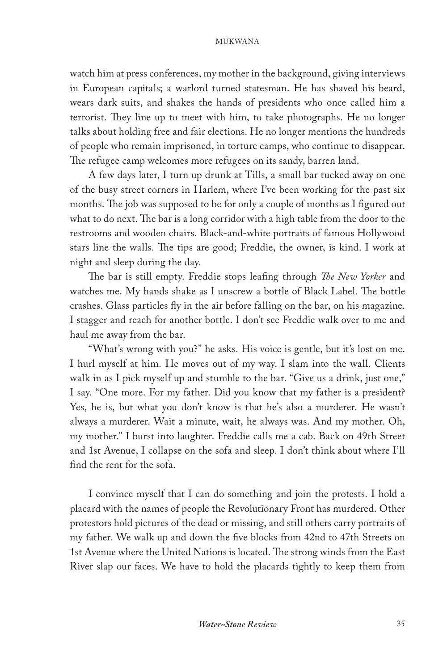watch him at press conferences, my mother in the background, giving interviews in European capitals; a warlord turned statesman. He has shaved his beard, wears dark suits, and shakes the hands of presidents who once called him a terrorist. They line up to meet with him, to take photographs. He no longer talks about holding free and fair elections. He no longer mentions the hundreds of people who remain imprisoned, in torture camps, who continue to disappear. The refugee camp welcomes more refugees on its sandy, barren land.

A few days later, I turn up drunk at Tills, a small bar tucked away on one of the busy street corners in Harlem, where I've been working for the past six months. The job was supposed to be for only a couple of months as I figured out what to do next. The bar is a long corridor with a high table from the door to the restrooms and wooden chairs. Black-and-white portraits of famous Hollywood stars line the walls. The tips are good; Freddie, the owner, is kind. I work at night and sleep during the day.

The bar is still empty. Freddie stops leafing through *The New Yorker* and watches me. My hands shake as I unscrew a bottle of Black Label. The bottle crashes. Glass particles fly in the air before falling on the bar, on his magazine. I stagger and reach for another bottle. I don't see Freddie walk over to me and haul me away from the bar.

"What's wrong with you?" he asks. His voice is gentle, but it's lost on me. I hurl myself at him. He moves out of my way. I slam into the wall. Clients walk in as I pick myself up and stumble to the bar. "Give us a drink, just one," I say. "One more. For my father. Did you know that my father is a president? Yes, he is, but what you don't know is that he's also a murderer. He wasn't always a murderer. Wait a minute, wait, he always was. And my mother. Oh, my mother." I burst into laughter. Freddie calls me a cab. Back on 49th Street and 1st Avenue, I collapse on the sofa and sleep. I don't think about where I'll find the rent for the sofa.

I convince myself that I can do something and join the protests. I hold a placard with the names of people the Revolutionary Front has murdered. Other protestors hold pictures of the dead or missing, and still others carry portraits of my father. We walk up and down the five blocks from 42nd to 47th Streets on 1st Avenue where the United Nations is located. The strong winds from the East River slap our faces. We have to hold the placards tightly to keep them from